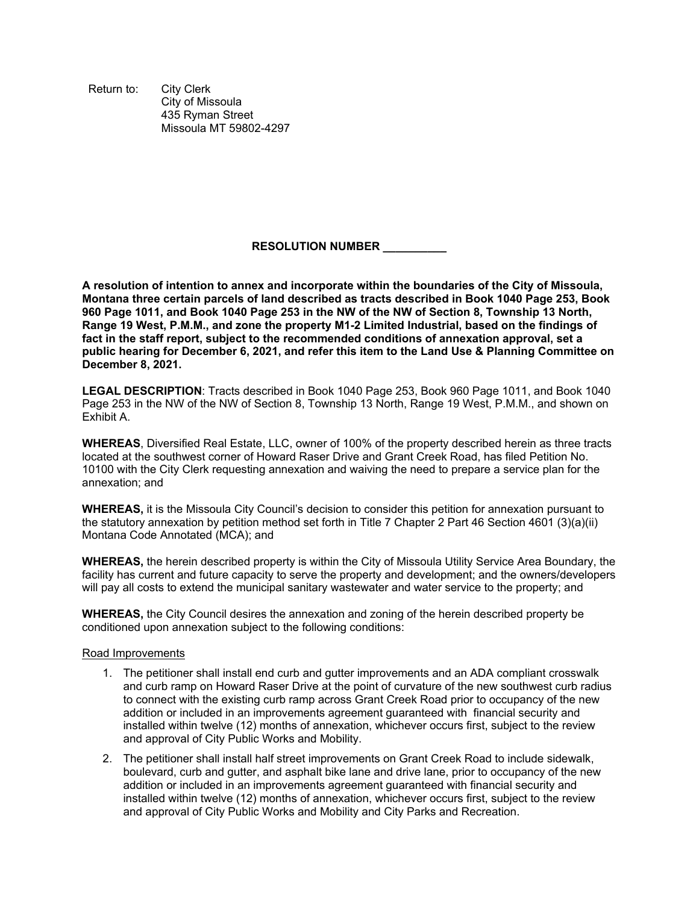Return to: City Clerk City of Missoula 435 Ryman Street Missoula MT 59802-4297

## **RESOLUTION NUMBER \_\_\_\_\_\_\_\_\_\_**

**A resolution of intention to annex and incorporate within the boundaries of the City of Missoula, Montana three certain parcels of land described as tracts described in Book 1040 Page 253, Book 960 Page 1011, and Book 1040 Page 253 in the NW of the NW of Section 8, Township 13 North, Range 19 West, P.M.M., and zone the property M1-2 Limited Industrial, based on the findings of fact in the staff report, subject to the recommended conditions of annexation approval, set a public hearing for December 6, 2021, and refer this item to the Land Use & Planning Committee on December 8, 2021.** 

**LEGAL DESCRIPTION**: Tracts described in Book 1040 Page 253, Book 960 Page 1011, and Book 1040 Page 253 in the NW of the NW of Section 8, Township 13 North, Range 19 West, P.M.M., and shown on Exhibit A.

**WHEREAS**, Diversified Real Estate, LLC, owner of 100% of the property described herein as three tracts located at the southwest corner of Howard Raser Drive and Grant Creek Road, has filed Petition No. 10100 with the City Clerk requesting annexation and waiving the need to prepare a service plan for the annexation; and

**WHEREAS,** it is the Missoula City Council's decision to consider this petition for annexation pursuant to the statutory annexation by petition method set forth in Title 7 Chapter 2 Part 46 Section 4601 (3)(a)(ii) Montana Code Annotated (MCA); and

**WHEREAS,** the herein described property is within the City of Missoula Utility Service Area Boundary, the facility has current and future capacity to serve the property and development; and the owners/developers will pay all costs to extend the municipal sanitary wastewater and water service to the property; and

**WHEREAS,** the City Council desires the annexation and zoning of the herein described property be conditioned upon annexation subject to the following conditions:

## Road Improvements

- 1. The petitioner shall install end curb and gutter improvements and an ADA compliant crosswalk and curb ramp on Howard Raser Drive at the point of curvature of the new southwest curb radius to connect with the existing curb ramp across Grant Creek Road prior to occupancy of the new addition or included in an improvements agreement guaranteed with financial security and installed within twelve (12) months of annexation, whichever occurs first, subject to the review and approval of City Public Works and Mobility.
- 2. The petitioner shall install half street improvements on Grant Creek Road to include sidewalk, boulevard, curb and gutter, and asphalt bike lane and drive lane, prior to occupancy of the new addition or included in an improvements agreement guaranteed with financial security and installed within twelve (12) months of annexation, whichever occurs first, subject to the review and approval of City Public Works and Mobility and City Parks and Recreation.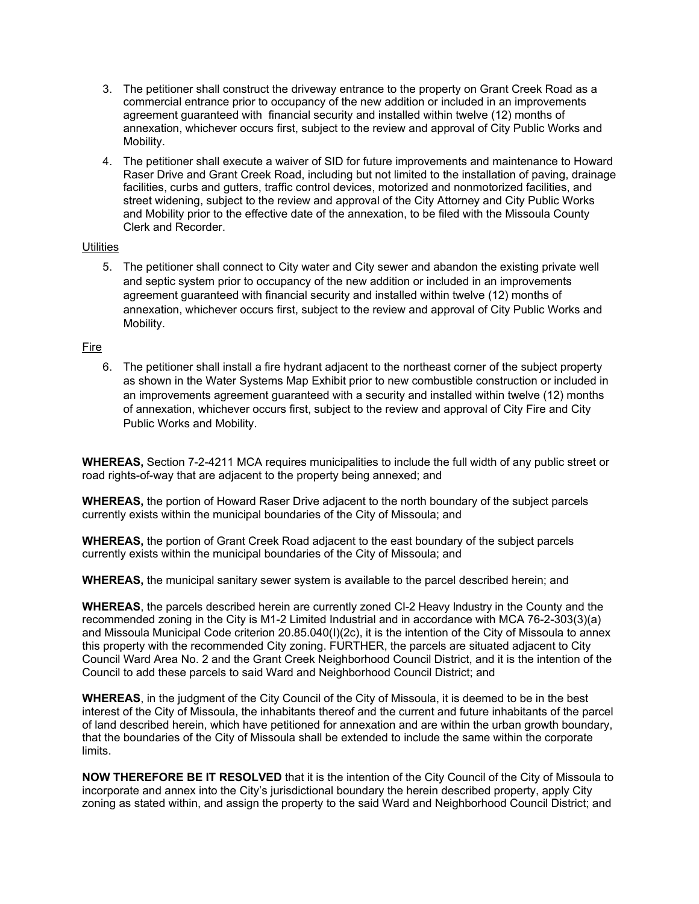- 3. The petitioner shall construct the driveway entrance to the property on Grant Creek Road as a commercial entrance prior to occupancy of the new addition or included in an improvements agreement guaranteed with financial security and installed within twelve (12) months of annexation, whichever occurs first, subject to the review and approval of City Public Works and Mobility.
- 4. The petitioner shall execute a waiver of SID for future improvements and maintenance to Howard Raser Drive and Grant Creek Road, including but not limited to the installation of paving, drainage facilities, curbs and gutters, traffic control devices, motorized and nonmotorized facilities, and street widening, subject to the review and approval of the City Attorney and City Public Works and Mobility prior to the effective date of the annexation, to be filed with the Missoula County Clerk and Recorder.

## **Utilities**

5. The petitioner shall connect to City water and City sewer and abandon the existing private well and septic system prior to occupancy of the new addition or included in an improvements agreement guaranteed with financial security and installed within twelve (12) months of annexation, whichever occurs first, subject to the review and approval of City Public Works and Mobility.

## Fire

6. The petitioner shall install a fire hydrant adjacent to the northeast corner of the subject property as shown in the Water Systems Map Exhibit prior to new combustible construction or included in an improvements agreement guaranteed with a security and installed within twelve (12) months of annexation, whichever occurs first, subject to the review and approval of City Fire and City Public Works and Mobility.

**WHEREAS,** Section 7-2-4211 MCA requires municipalities to include the full width of any public street or road rights-of-way that are adjacent to the property being annexed; and

**WHEREAS,** the portion of Howard Raser Drive adjacent to the north boundary of the subject parcels currently exists within the municipal boundaries of the City of Missoula; and

**WHEREAS,** the portion of Grant Creek Road adjacent to the east boundary of the subject parcels currently exists within the municipal boundaries of the City of Missoula; and

**WHEREAS,** the municipal sanitary sewer system is available to the parcel described herein; and

**WHEREAS**, the parcels described herein are currently zoned CI-2 Heavy Industry in the County and the recommended zoning in the City is M1-2 Limited Industrial and in accordance with MCA 76-2-303(3)(a) and Missoula Municipal Code criterion 20.85.040(I)(2c), it is the intention of the City of Missoula to annex this property with the recommended City zoning. FURTHER, the parcels are situated adjacent to City Council Ward Area No. 2 and the Grant Creek Neighborhood Council District, and it is the intention of the Council to add these parcels to said Ward and Neighborhood Council District; and

**WHEREAS**, in the judgment of the City Council of the City of Missoula, it is deemed to be in the best interest of the City of Missoula, the inhabitants thereof and the current and future inhabitants of the parcel of land described herein, which have petitioned for annexation and are within the urban growth boundary, that the boundaries of the City of Missoula shall be extended to include the same within the corporate limits.

**NOW THEREFORE BE IT RESOLVED** that it is the intention of the City Council of the City of Missoula to incorporate and annex into the City's jurisdictional boundary the herein described property, apply City zoning as stated within, and assign the property to the said Ward and Neighborhood Council District; and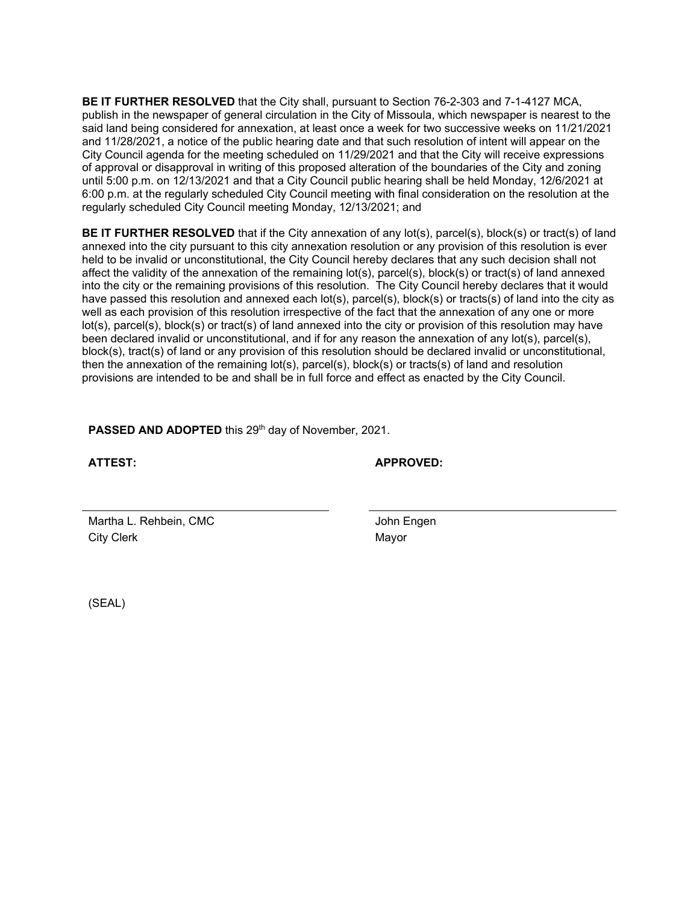**BE IT FURTHER RESOLVED** that the City shall, pursuant to Section 76-2-303 and 7-1-4127 MCA, publish in the newspaper of general circulation in the City of Missoula, which newspaper is nearest to the said land being considered for annexation, at least once a week for two successive weeks on 11/21/2021 and 11/28/2021, a notice of the public hearing date and that such resolution of intent will appear on the City Council agenda for the meeting scheduled on 11/29/2021 and that the City will receive expressions of approval or disapproval in writing of this proposed alteration of the boundaries of the City and zoning until 5:00 p.m. on 12/13/2021 and that a City Council public hearing shall be held Monday, 12/6/2021 at 6:00 p.m. at the regularly scheduled City Council meeting with final consideration on the resolution at the regularly scheduled City Council meeting Monday, 12/13/2021; and

**BE IT FURTHER RESOLVED** that if the City annexation of any lot(s), parcel(s), block(s) or tract(s) of land annexed into the city pursuant to this city annexation resolution or any provision of this resolution is ever held to be invalid or unconstitutional, the City Council hereby declares that any such decision shall not affect the validity of the annexation of the remaining lot(s), parcel(s), block(s) or tract(s) of land annexed into the city or the remaining provisions of this resolution. The City Council hereby declares that it would have passed this resolution and annexed each lot(s), parcel(s), block(s) or tracts(s) of land into the city as well as each provision of this resolution irrespective of the fact that the annexation of any one or more lot(s), parcel(s), block(s) or tract(s) of land annexed into the city or provision of this resolution may have been declared invalid or unconstitutional, and if for any reason the annexation of any lot(s), parcel(s), block(s), tract(s) of land or any provision of this resolution should be declared invalid or unconstitutional, then the annexation of the remaining lot(s), parcel(s), block(s) or tracts(s) of land and resolution provisions are intended to be and shall be in full force and effect as enacted by the City Council.

PASSED AND ADOPTED this 29<sup>th</sup> day of November, 2021.

**ATTEST: APPROVED:**

Martha L. Rehbein, CMC **Voltage Contract Contract Contract Contract Contract Contract Contract Contract Contract Contract Contract Contract Contract Contract Contract Contract Contract Contract Contract Contract Contract C** City Clerk **Mayor** 

(SEAL)